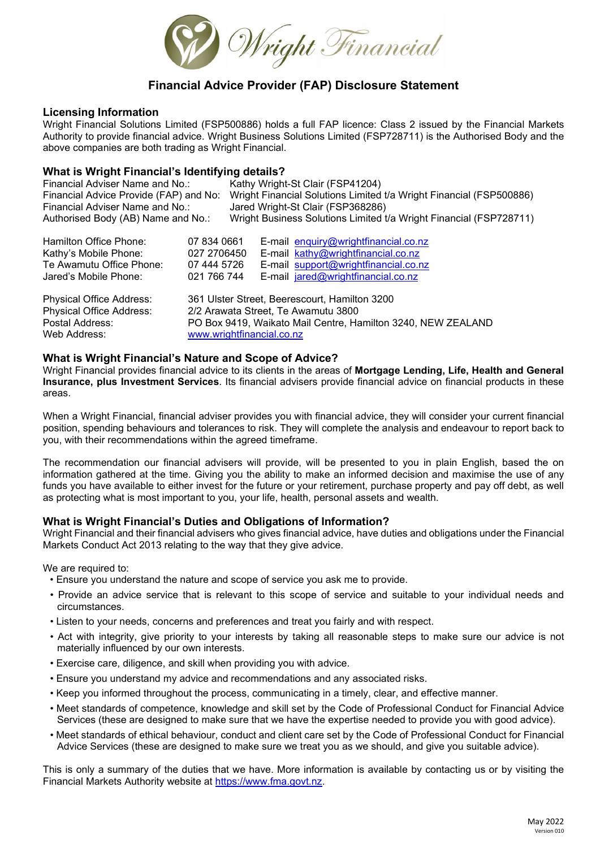

## **Financial Advice Provider (FAP) Disclosure Statement**

#### **Licensing Information**

Wright Financial Solutions Limited (FSP500886) holds a full FAP licence: Class 2 issued by the Financial Markets Authority to provide financial advice. Wright Business Solutions Limited (FSP728711) is the Authorised Body and the above companies are both trading as Wright Financial.

# **What is Wright Financial's Identifying details?**<br>Financial Adviser Name and No.: Kathy Wright

Financial Adviser Name and No.: Kathy Wright-St Clair (FSP41204)<br>Financial Advice Provide (FAP) and No: Wright Financial Solutions Limited Wright Financial Solutions Limited t/a Wright Financial (FSP500886) Financial Adviser Name and No.: Jared Wright-St Clair (FSP368286) Authorised Body (AB) Name and No.: Wright Business Solutions Limited t/a Wright Financial (FSP728711)

| Hamilton Office Phone:                                                                  | 07 834 0661               | E-mail enquiry@wrightfinancial.co.nz                                                                                                                 |
|-----------------------------------------------------------------------------------------|---------------------------|------------------------------------------------------------------------------------------------------------------------------------------------------|
| Kathy's Mobile Phone:                                                                   | 027 2706450               | E-mail kathy@wrightfinancial.co.nz                                                                                                                   |
| Te Awamutu Office Phone:                                                                | 07 444 5726               | E-mail support@wrightfinancial.co.nz                                                                                                                 |
| Jared's Mobile Phone:                                                                   | 021 766 744               | E-mail jared@wrightfinancial.co.nz                                                                                                                   |
| Physical Office Address:<br>Physical Office Address:<br>Postal Address:<br>Web Address: | www.wrightfinancial.co.nz | 361 Ulster Street, Beerescourt, Hamilton 3200<br>2/2 Arawata Street, Te Awamutu 3800<br>PO Box 9419, Waikato Mail Centre, Hamilton 3240, NEW ZEALAND |

#### **What is Wright Financial's Nature and Scope of Advice?**

Wright Financial provides financial advice to its clients in the areas of **Mortgage Lending, Life, Health and General Insurance, plus Investment Services**. Its financial advisers provide financial advice on financial products in these areas.

When a Wright Financial, financial adviser provides you with financial advice, they will consider your current financial position, spending behaviours and tolerances to risk. They will complete the analysis and endeavour to report back to you, with their recommendations within the agreed timeframe.

The recommendation our financial advisers will provide, will be presented to you in plain English, based the on information gathered at the time. Giving you the ability to make an informed decision and maximise the use of any funds you have available to either invest for the future or your retirement, purchase property and pay off debt, as well as protecting what is most important to you, your life, health, personal assets and wealth.

## **What is Wright Financial's Duties and Obligations of Information?**

Wright Financial and their financial advisers who gives financial advice, have duties and obligations under the Financial Markets Conduct Act 2013 relating to the way that they give advice.

We are required to:

- Ensure you understand the nature and scope of service you ask me to provide.
- Provide an advice service that is relevant to this scope of service and suitable to your individual needs and circumstances.
- Listen to your needs, concerns and preferences and treat you fairly and with respect.
- Act with integrity, give priority to your interests by taking all reasonable steps to make sure our advice is not materially influenced by our own interests.
- Exercise care, diligence, and skill when providing you with advice.
- Ensure you understand my advice and recommendations and any associated risks.
- Keep you informed throughout the process, communicating in a timely, clear, and effective manner.
- Meet standards of competence, knowledge and skill set by the Code of Professional Conduct for Financial Advice Services (these are designed to make sure that we have the expertise needed to provide you with good advice).
- Meet standards of ethical behaviour, conduct and client care set by the Code of Professional Conduct for Financial Advice Services (these are designed to make sure we treat you as we should, and give you suitable advice).

This is only a summary of the duties that we have. More information is available by contacting us or by visiting the Financial Markets Authority website at [https://www.fma.govt.nz.](https://www.fma.govt.nz/)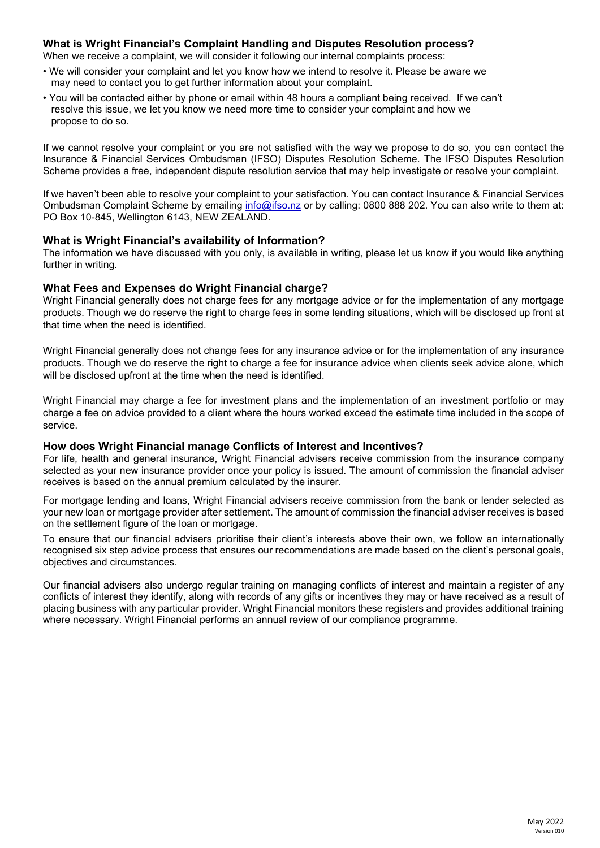## **What is Wright Financial's Complaint Handling and Disputes Resolution process?**

When we receive a complaint, we will consider it following our internal complaints process:

- We will consider your complaint and let you know how we intend to resolve it. Please be aware we may need to contact you to get further information about your complaint.
- You will be contacted either by phone or email within 48 hours a compliant being received. If we can't resolve this issue, we let you know we need more time to consider your complaint and how we propose to do so.

If we cannot resolve your complaint or you are not satisfied with the way we propose to do so, you can contact the Insurance & Financial Services Ombudsman (IFSO) Disputes Resolution Scheme. The IFSO Disputes Resolution Scheme provides a free, independent dispute resolution service that may help investigate or resolve your complaint.

If we haven't been able to resolve your complaint to your satisfaction. You can contact Insurance & Financial Services Ombudsman Complaint Scheme by emailing [info@ifso.nz](mailto:info@ifso.nz) or by calling: 0800 888 202. You can also write to them at: PO Box 10-845, Wellington 6143, NEW ZEALAND.

#### **What is Wright Financial's availability of Information?**

The information we have discussed with you only, is available in writing, please let us know if you would like anything further in writing.

#### **What Fees and Expenses do Wright Financial charge?**

Wright Financial generally does not charge fees for any mortgage advice or for the implementation of any mortgage products. Though we do reserve the right to charge fees in some lending situations, which will be disclosed up front at that time when the need is identified.

Wright Financial generally does not change fees for any insurance advice or for the implementation of any insurance products. Though we do reserve the right to charge a fee for insurance advice when clients seek advice alone, which will be disclosed upfront at the time when the need is identified.

Wright Financial may charge a fee for investment plans and the implementation of an investment portfolio or may charge a fee on advice provided to a client where the hours worked exceed the estimate time included in the scope of service.

#### **How does Wright Financial manage Conflicts of Interest and Incentives?**

For life, health and general insurance, Wright Financial advisers receive commission from the insurance company selected as your new insurance provider once your policy is issued. The amount of commission the financial adviser receives is based on the annual premium calculated by the insurer.

For mortgage lending and loans, Wright Financial advisers receive commission from the bank or lender selected as your new loan or mortgage provider after settlement. The amount of commission the financial adviser receives is based on the settlement figure of the loan or mortgage.

To ensure that our financial advisers prioritise their client's interests above their own, we follow an internationally recognised six step advice process that ensures our recommendations are made based on the client's personal goals, objectives and circumstances.

Our financial advisers also undergo regular training on managing conflicts of interest and maintain a register of any conflicts of interest they identify, along with records of any gifts or incentives they may or have received as a result of placing business with any particular provider. Wright Financial monitors these registers and provides additional training where necessary. Wright Financial performs an annual review of our compliance programme.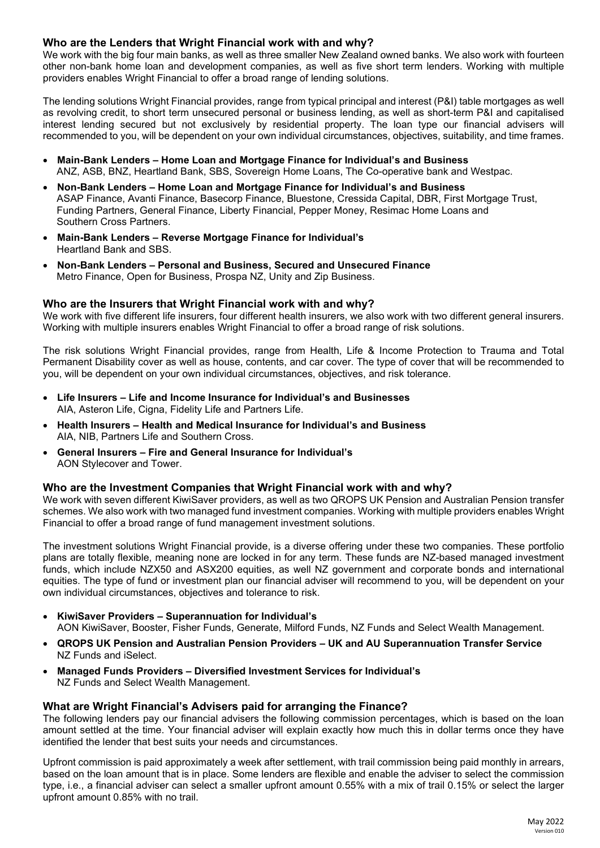## **Who are the Lenders that Wright Financial work with and why?**

We work with the big four main banks, as well as three smaller New Zealand owned banks. We also work with fourteen other non-bank home loan and development companies, as well as five short term lenders. Working with multiple providers enables Wright Financial to offer a broad range of lending solutions.

The lending solutions Wright Financial provides, range from typical principal and interest (P&I) table mortgages as well as revolving credit, to short term unsecured personal or business lending, as well as short-term P&I and capitalised interest lending secured but not exclusively by residential property. The loan type our financial advisers will recommended to you, will be dependent on your own individual circumstances, objectives, suitability, and time frames.

- **Main-Bank Lenders – Home Loan and Mortgage Finance for Individual's and Business** ANZ, ASB, BNZ, Heartland Bank, SBS, Sovereign Home Loans, The Co-operative bank and Westpac.
- **Non-Bank Lenders – Home Loan and Mortgage Finance for Individual's and Business** ASAP Finance, Avanti Finance, Basecorp Finance, Bluestone, Cressida Capital, DBR, First Mortgage Trust, Funding Partners, General Finance, Liberty Financial, Pepper Money, Resimac Home Loans and Southern Cross Partners.
- **Main-Bank Lenders – Reverse Mortgage Finance for Individual's** Heartland Bank and SBS.
- **Non-Bank Lenders – Personal and Business, Secured and Unsecured Finance** Metro Finance, Open for Business, Prospa NZ, Unity and Zip Business.

#### **Who are the Insurers that Wright Financial work with and why?**

We work with five different life insurers, four different health insurers, we also work with two different general insurers. Working with multiple insurers enables Wright Financial to offer a broad range of risk solutions.

The risk solutions Wright Financial provides, range from Health, Life & Income Protection to Trauma and Total Permanent Disability cover as well as house, contents, and car cover. The type of cover that will be recommended to you, will be dependent on your own individual circumstances, objectives, and risk tolerance.

- **Life Insurers – Life and Income Insurance for Individual's and Businesses** AIA, Asteron Life, Cigna, Fidelity Life and Partners Life.
- **Health Insurers – Health and Medical Insurance for Individual's and Business** AIA, NIB, Partners Life and Southern Cross.
- **General Insurers – Fire and General Insurance for Individual's** AON Stylecover and Tower.

#### **Who are the Investment Companies that Wright Financial work with and why?**

We work with seven different KiwiSaver providers, as well as two QROPS UK Pension and Australian Pension transfer schemes. We also work with two managed fund investment companies. Working with multiple providers enables Wright Financial to offer a broad range of fund management investment solutions.

The investment solutions Wright Financial provide, is a diverse offering under these two companies. These portfolio plans are totally flexible, meaning none are locked in for any term. These funds are NZ-based managed investment funds, which include NZX50 and ASX200 equities, as well NZ government and corporate bonds and international equities. The type of fund or investment plan our financial adviser will recommend to you, will be dependent on your own individual circumstances, objectives and tolerance to risk.

- **KiwiSaver Providers – Superannuation for Individual's** AON KiwiSaver, Booster, Fisher Funds, Generate, Milford Funds, NZ Funds and Select Wealth Management.
- **QROPS UK Pension and Australian Pension Providers – UK and AU Superannuation Transfer Service** NZ Funds and iSelect.
- **Managed Funds Providers – Diversified Investment Services for Individual's** NZ Funds and Select Wealth Management.

#### **What are Wright Financial's Advisers paid for arranging the Finance?**

The following lenders pay our financial advisers the following commission percentages, which is based on the loan amount settled at the time. Your financial adviser will explain exactly how much this in dollar terms once they have identified the lender that best suits your needs and circumstances.

Upfront commission is paid approximately a week after settlement, with trail commission being paid monthly in arrears, based on the loan amount that is in place. Some lenders are flexible and enable the adviser to select the commission type, i.e., a financial adviser can select a smaller upfront amount 0.55% with a mix of trail 0.15% or select the larger upfront amount 0.85% with no trail.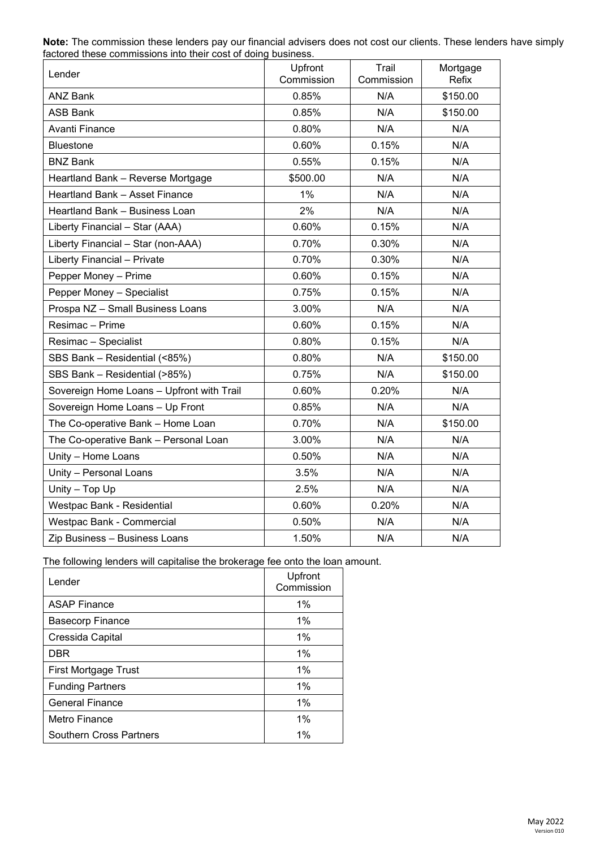| Lender                                    | Upfront<br>Commission | Trail<br>Commission | Mortgage<br>Refix |
|-------------------------------------------|-----------------------|---------------------|-------------------|
| <b>ANZ Bank</b>                           | 0.85%                 | N/A                 | \$150.00          |
| <b>ASB Bank</b>                           | 0.85%                 | N/A                 | \$150.00          |
| Avanti Finance                            | 0.80%                 | N/A                 | N/A               |
| Bluestone                                 | 0.60%                 | 0.15%               | N/A               |
| <b>BNZ Bank</b>                           | 0.55%                 | 0.15%               | N/A               |
| Heartland Bank - Reverse Mortgage         | \$500.00              | N/A                 | N/A               |
| Heartland Bank - Asset Finance            | 1%                    | N/A                 | N/A               |
| Heartland Bank - Business Loan            | 2%                    | N/A                 | N/A               |
| Liberty Financial - Star (AAA)            | 0.60%                 | 0.15%               | N/A               |
| Liberty Financial - Star (non-AAA)        | 0.70%                 | 0.30%               | N/A               |
| Liberty Financial - Private               | 0.70%                 | 0.30%               | N/A               |
| Pepper Money - Prime                      | 0.60%                 | 0.15%               | N/A               |
| Pepper Money - Specialist                 | 0.75%                 | 0.15%               | N/A               |
| Prospa NZ - Small Business Loans          | 3.00%                 | N/A                 | N/A               |
| Resimac - Prime                           | 0.60%                 | 0.15%               | N/A               |
| Resimac - Specialist                      | 0.80%                 | 0.15%               | N/A               |
| SBS Bank - Residential (<85%)             | 0.80%                 | N/A                 | \$150.00          |
| SBS Bank - Residential (>85%)             | 0.75%                 | N/A                 | \$150.00          |
| Sovereign Home Loans - Upfront with Trail | 0.60%                 | 0.20%               | N/A               |
| Sovereign Home Loans - Up Front           | 0.85%                 | N/A                 | N/A               |
| The Co-operative Bank - Home Loan         | 0.70%                 | N/A                 | \$150.00          |
| The Co-operative Bank - Personal Loan     | 3.00%                 | N/A                 | N/A               |
| Unity - Home Loans                        | 0.50%                 | N/A                 | N/A               |
| Unity - Personal Loans                    | 3.5%                  | N/A                 | N/A               |
| Unity - Top Up                            | 2.5%                  | N/A                 | N/A               |
| Westpac Bank - Residential                | 0.60%                 | 0.20%               | N/A               |
| Westpac Bank - Commercial                 | 0.50%                 | N/A                 | N/A               |
| Zip Business - Business Loans             | 1.50%                 | N/A                 | N/A               |

**Note:** The commission these lenders pay our financial advisers does not cost our clients. These lenders have simply factored these commissions into their cost of doing business.

The following lenders will capitalise the brokerage fee onto the loan amount.

| Lender                  | Upfront<br>Commission |
|-------------------------|-----------------------|
| <b>ASAP Finance</b>     | $1\%$                 |
| <b>Basecorp Finance</b> | 1%                    |
| Cressida Capital        | $1\%$                 |
| <b>DBR</b>              | 1%                    |
| First Mortgage Trust    | 1%                    |
| <b>Funding Partners</b> | 1%                    |
| General Finance         | $1\%$                 |
| Metro Finance           | 1%                    |
| Southern Cross Partners | 1%                    |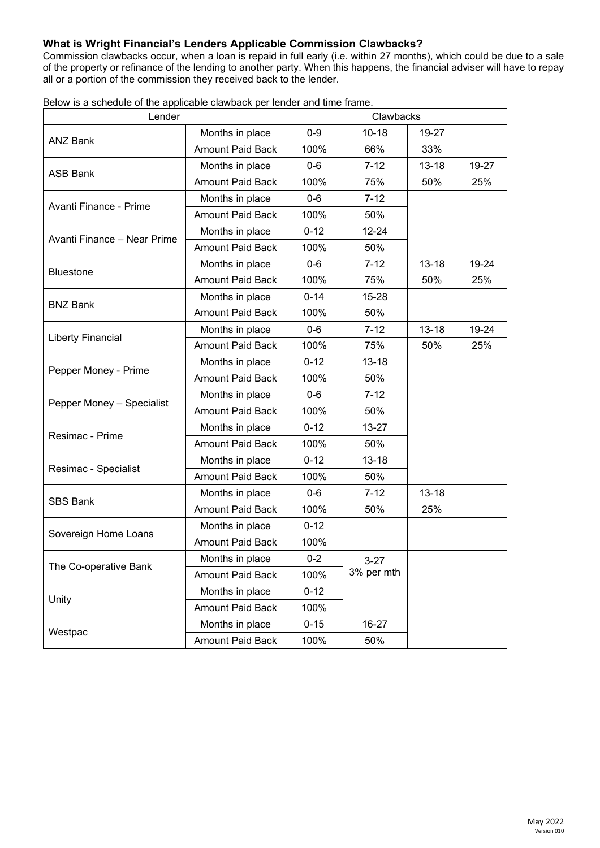## **What is Wright Financial's Lenders Applicable Commission Clawbacks?**

Commission clawbacks occur, when a loan is repaid in full early (i.e. within 27 months), which could be due to a sale of the property or refinance of the lending to another party. When this happens, the financial adviser will have to repay all or a portion of the commission they received back to the lender.

| Lender                      |                         | Clawbacks |            |           |       |
|-----------------------------|-------------------------|-----------|------------|-----------|-------|
| <b>ANZ Bank</b>             | Months in place         | $0 - 9$   | $10 - 18$  | 19-27     |       |
|                             | <b>Amount Paid Back</b> | 100%      | 66%        | 33%       |       |
|                             | Months in place         | $0-6$     | $7 - 12$   | $13 - 18$ | 19-27 |
| <b>ASB Bank</b>             | <b>Amount Paid Back</b> | 100%      | 75%        | 50%       | 25%   |
| Avanti Finance - Prime      | Months in place         | $0-6$     | $7 - 12$   |           |       |
|                             | <b>Amount Paid Back</b> | 100%      | 50%        |           |       |
| Avanti Finance - Near Prime | Months in place         | $0 - 12$  | $12 - 24$  |           |       |
|                             | <b>Amount Paid Back</b> | 100%      | 50%        |           |       |
| <b>Bluestone</b>            | Months in place         | $0 - 6$   | $7 - 12$   | $13 - 18$ | 19-24 |
|                             | <b>Amount Paid Back</b> | 100%      | 75%        | 50%       | 25%   |
| <b>BNZ Bank</b>             | Months in place         | $0 - 14$  | 15-28      |           |       |
|                             | <b>Amount Paid Back</b> | 100%      | 50%        |           |       |
|                             | Months in place         | $0-6$     | $7 - 12$   | $13 - 18$ | 19-24 |
| <b>Liberty Financial</b>    | <b>Amount Paid Back</b> | 100%      | 75%        | 50%       | 25%   |
|                             | Months in place         | $0 - 12$  | $13 - 18$  |           |       |
| Pepper Money - Prime        | <b>Amount Paid Back</b> | 100%      | 50%        |           |       |
|                             | Months in place         | $0-6$     | $7 - 12$   |           |       |
| Pepper Money - Specialist   | <b>Amount Paid Back</b> | 100%      | 50%        |           |       |
| Resimac - Prime             | Months in place         | $0 - 12$  | $13 - 27$  |           |       |
|                             | <b>Amount Paid Back</b> | 100%      | 50%        |           |       |
|                             | Months in place         | $0 - 12$  | $13 - 18$  |           |       |
| Resimac - Specialist        | <b>Amount Paid Back</b> | 100%      | 50%        |           |       |
| <b>SBS Bank</b>             | Months in place         | $0-6$     | $7 - 12$   | $13 - 18$ |       |
|                             | <b>Amount Paid Back</b> | 100%      | 50%        | 25%       |       |
|                             | Months in place         | $0 - 12$  |            |           |       |
| Sovereign Home Loans        | <b>Amount Paid Back</b> | 100%      |            |           |       |
| The Co-operative Bank       | Months in place         | $0 - 2$   | $3 - 27$   |           |       |
|                             | <b>Amount Paid Back</b> | 100%      | 3% per mth |           |       |
| Unity                       | Months in place         | $0 - 12$  |            |           |       |
|                             | Amount Paid Back        | 100%      |            |           |       |
|                             | Months in place         | $0 - 15$  | 16-27      |           |       |
| Westpac                     | Amount Paid Back        | 100%      | 50%        |           |       |

Below is a schedule of the applicable clawback per lender and time frame.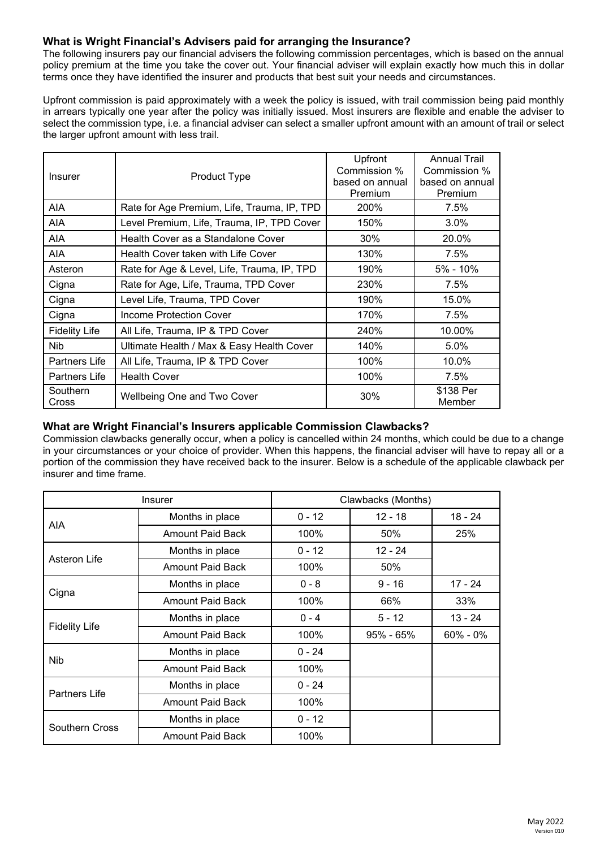## **What is Wright Financial's Advisers paid for arranging the Insurance?**

The following insurers pay our financial advisers the following commission percentages, which is based on the annual policy premium at the time you take the cover out. Your financial adviser will explain exactly how much this in dollar terms once they have identified the insurer and products that best suit your needs and circumstances.

Upfront commission is paid approximately with a week the policy is issued, with trail commission being paid monthly in arrears typically one year after the policy was initially issued. Most insurers are flexible and enable the adviser to select the commission type, i.e. a financial adviser can select a smaller upfront amount with an amount of trail or select the larger upfront amount with less trail.

| <b>Insurer</b>       | Product Type                                | Upfront<br>Commission %<br>based on annual<br>Premium | <b>Annual Trail</b><br>Commission %<br>based on annual<br>Premium |
|----------------------|---------------------------------------------|-------------------------------------------------------|-------------------------------------------------------------------|
| AIA                  | Rate for Age Premium, Life, Trauma, IP, TPD | 200%                                                  | 7.5%                                                              |
| AIA                  | Level Premium, Life, Trauma, IP, TPD Cover  | 150%                                                  | 3.0%                                                              |
| AIA                  | Health Cover as a Standalone Cover          | 30%                                                   | 20.0%                                                             |
| AIA.                 | Health Cover taken with Life Cover          | 130%                                                  | 7.5%                                                              |
| Asteron              | Rate for Age & Level, Life, Trauma, IP, TPD | 190%                                                  | $5\% - 10\%$                                                      |
| Cigna                | Rate for Age, Life, Trauma, TPD Cover       | 230%                                                  | 7.5%                                                              |
| Cigna                | Level Life, Trauma, TPD Cover               | 190%                                                  | 15.0%                                                             |
| Cigna                | Income Protection Cover                     | 170%                                                  | 7.5%                                                              |
| <b>Fidelity Life</b> | All Life, Trauma, IP & TPD Cover            | 240%                                                  | 10.00%                                                            |
| Nib                  | Ultimate Health / Max & Easy Health Cover   | 140%                                                  | 5.0%                                                              |
| Partners Life        | All Life, Trauma, IP & TPD Cover            | 100%                                                  | 10.0%                                                             |
| Partners Life        | <b>Health Cover</b>                         | 100%                                                  | 7.5%                                                              |
| Southern<br>Cross    | <b>Wellbeing One and Two Cover</b>          | 30%                                                   | \$138 Per<br>Member                                               |

## **What are Wright Financial's Insurers applicable Commission Clawbacks?**

Commission clawbacks generally occur, when a policy is cancelled within 24 months, which could be due to a change in your circumstances or your choice of provider. When this happens, the financial adviser will have to repay all or a portion of the commission they have received back to the insurer. Below is a schedule of the applicable clawback per insurer and time frame.

| <b>Insurer</b>        |                         | Clawbacks (Months) |               |           |  |
|-----------------------|-------------------------|--------------------|---------------|-----------|--|
| AIA                   | Months in place         | $0 - 12$           | $12 - 18$     | $18 - 24$ |  |
|                       | <b>Amount Paid Back</b> | 100%               | 50%           | 25%       |  |
| Asteron Life          | Months in place         | $0 - 12$           | $12 - 24$     |           |  |
|                       | Amount Paid Back        | 100%               | 50%           |           |  |
|                       | Months in place         | $0 - 8$            | $9 - 16$      | 17 - 24   |  |
| Cigna                 | <b>Amount Paid Back</b> | 100%               | 66%           | 33%       |  |
| <b>Fidelity Life</b>  | Months in place         | $0 - 4$            | $5 - 12$      | $13 - 24$ |  |
|                       | <b>Amount Paid Back</b> | 100%               | $95\% - 65\%$ | 60% - 0%  |  |
| <b>Nib</b>            | Months in place         | $0 - 24$           |               |           |  |
|                       | <b>Amount Paid Back</b> | 100%               |               |           |  |
| Partners Life         | Months in place         | $0 - 24$           |               |           |  |
|                       | <b>Amount Paid Back</b> | 100%               |               |           |  |
| <b>Southern Cross</b> | Months in place         | $0 - 12$           |               |           |  |
|                       | <b>Amount Paid Back</b> | 100%               |               |           |  |